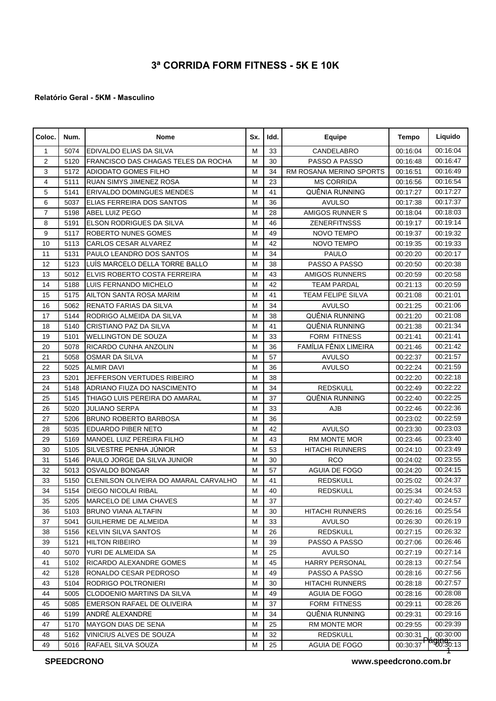## **3ª CORRIDA FORM FITNESS - 5K E 10K**

## **Relatório Geral - 5KM - Masculino**

| Coloc.         | Num. | Nome                                  | Sx. | Idd. | <b>Equipe</b>            | Tempo    | Liquido                      |
|----------------|------|---------------------------------------|-----|------|--------------------------|----------|------------------------------|
| 1              | 5074 | <b>EDIVALDO ELIAS DA SILVA</b>        | M   | 33   | CANDELABRO               | 00:16:04 | 00:16:04                     |
| $\overline{2}$ | 5120 | FRANCISCO DAS CHAGAS TELES DA ROCHA   | M   | 30   | PASSO A PASSO            | 00:16:48 | 00:16:47                     |
| 3              | 5172 | <b>ADIODATO GOMES FILHO</b>           | M   | 34   | RM ROSANA MERINO SPORTS  | 00:16:51 | 00:16:49                     |
| $\overline{4}$ | 5111 | RUAN SIMYS JIMENEZ ROSA               | M   | 23   | <b>MS CORRIDA</b>        | 00:16:56 | 00:16:54                     |
| 5              | 5141 | <b>ERIVALDO DOMINGUES MENDES</b>      | M   | 41   | QUÊNIA RUNNING           | 00:17:27 | 00:17:27                     |
| 6              | 5037 | ELIAS FERREIRA DOS SANTOS             | M   | 36   | <b>AVULSO</b>            | 00:17:38 | 00:17:37                     |
| $\overline{7}$ | 5198 | <b>ABEL LUIZ PEGO</b>                 | M   | 28   | AMIGOS RUNNER S          | 00:18:04 | 00:18:03                     |
| 8              | 5191 | ELSON RODRIGUES DA SILVA              | M   | 46   | <b>ZENERFITNSSS</b>      | 00:19:17 | 00:19:14                     |
| 9              | 5117 | <b>ROBERTO NUNES GOMES</b>            | M   | 49   | NOVO TEMPO               | 00:19:37 | 00:19:32                     |
| 10             | 5113 | <b>CARLOS CESAR ALVAREZ</b>           | М   | 42   | NOVO TEMPO               | 00:19:35 | 00:19:33                     |
| 11             | 5131 | PAULO LEANDRO DOS SANTOS              | M   | 34   | <b>PAULO</b>             | 00:20:20 | 00:20:17                     |
| 12             | 5123 | LUÍS MARCELO DELLA TORRE BALLO        | М   | 38   | PASSO A PASSO            | 00:20:50 | 00:20:38                     |
| 13             | 5012 | ELVIS ROBERTO COSTA FERREIRA          | M   | 43   | <b>AMIGOS RUNNERS</b>    | 00:20:59 | 00:20:58                     |
| 14             | 5188 | LUIS FERNANDO MICHELO                 | M   | 42   | <b>TEAM PARDAL</b>       | 00:21:13 | 00:20:59                     |
| 15             | 5175 | AILTON SANTA ROSA MARIM               | M   | 41   | <b>TEAM FELIPE SILVA</b> | 00:21:08 | 00:21:01                     |
| 16             | 5062 | RENATO FARIAS DA SILVA                | M   | 34   | <b>AVULSO</b>            | 00:21:25 | 00:21:06                     |
| 17             | 5144 | RODRIGO ALMEIDA DA SILVA              | M   | 38   | QUÊNIA RUNNING           | 00:21:20 | 00:21:08                     |
| 18             | 5140 | CRISTIANO PAZ DA SILVA                | M   | 41   | QUÊNIA RUNNING           | 00:21:38 | 00:21:34                     |
| 19             | 5101 | <b>WELLINGTON DE SOUZA</b>            | M   | 33   | <b>FORM FITNESS</b>      | 00:21:41 | 00:21:41                     |
| 20             | 5078 | RICARDO CUNHA ANZOLIN                 | M   | 36   | FAMÍLIA FÊNIX LIMEIRA    | 00:21:46 | 00:21:42                     |
| 21             | 5058 | <b>OSMAR DA SILVA</b>                 | M   | 57   | <b>AVULSO</b>            | 00:22:37 | 00:21:57                     |
| 22             | 5025 | <b>ALMIR DAVI</b>                     | M   | 36   | <b>AVULSO</b>            | 00:22:24 | 00:21:59                     |
| 23             | 5201 | JEFFERSON VERTUDES RIBEIRO            | M   | 38   |                          | 00:22:20 | 00:22:18                     |
| 24             | 5148 | ADRIANO FIUZA DO NASCIMENTO           | M   | 34   | <b>REDSKULL</b>          | 00:22:49 | 00:22:22                     |
| 25             | 5145 | THIAGO LUIS PEREIRA DO AMARAL         | М   | 37   | QUÊNIA RUNNING           | 00:22:40 | 00:22:25                     |
| 26             | 5020 | <b>JULIANO SERPA</b>                  | М   | 33   | AJB                      | 00:22:46 | 00:22:36                     |
| 27             | 5206 | <b>BRUNO ROBERTO BARBOSA</b>          | M   | 36   |                          | 00:23:02 | 00:22:59                     |
| 28             | 5035 | <b>EDUARDO PIBER NETO</b>             | M   | 42   | <b>AVULSO</b>            | 00:23:30 | 00:23:03                     |
| 29             | 5169 | MANOEL LUIZ PEREIRA FILHO             | M   | 43   | RM MONTE MOR             | 00:23:46 | 00:23:40                     |
| 30             | 5105 | SILVESTRE PENHA JÚNIOR                | M   | 53   | <b>HITACHI RUNNERS</b>   | 00:24:10 | 00:23:49                     |
| 31             | 5146 | PAULO JORGE DA SILVA JUNIOR           | M   | 30   | <b>RCO</b>               | 00:24:02 | 00:23:55                     |
| 32             | 5013 | <b>OSVALDO BONGAR</b>                 | M   | 57   | AGUIA DE FOGO            | 00:24:20 | 00:24:15                     |
| 33             | 5150 | CLENILSON OLIVEIRA DO AMARAL CARVALHO | M   | 41   | <b>REDSKULL</b>          | 00:25:02 | 00:24:37                     |
| 34             | 5154 | <b>DIEGO NICOLAI RIBAL</b>            | М   | 40   | <b>REDSKULL</b>          | 00:25:34 | 00:24:53                     |
| 35             |      | 5205 MARCELO DE LIMA CHAVES           | M   | 37   |                          | 00:27:40 | 00:24:57                     |
| 36             | 5103 | BRUNO VIANA ALTAFIN                   | М   | 30   | <b>HITACHI RUNNERS</b>   | 00:26:16 | 00:25:54                     |
| 37             | 5041 | <b>GUILHERME DE ALMEIDA</b>           | М   | 33   | <b>AVULSO</b>            | 00:26:30 | 00:26:19                     |
| 38             | 5156 | <b>KELVIN SILVA SANTOS</b>            | М   | 26   | <b>REDSKULL</b>          | 00:27:15 | 00:26:32                     |
| 39             | 5121 | <b>HILTON RIBEIRO</b>                 | М   | 39   | PASSO A PASSO            | 00:27:06 | 00:26:46                     |
| 40             | 5070 | YURI DE ALMEIDA SA                    | М   | 25   | AVULSO                   | 00:27:19 | 00:27:14                     |
| 41             | 5102 | RICARDO ALEXANDRE GOMES               | М   | 45   | <b>HARRY PERSONAL</b>    | 00:28:13 | 00:27:54                     |
| 42             | 5128 | RONALDO CESAR PEDROSO                 | М   | 49   | PASSO A PASSO            | 00:28:16 | 00:27:56                     |
| 43             | 5104 | RODRIGO POLTRONIERI                   | М   | 30   | <b>HITACHI RUNNERS</b>   | 00:28:18 | 00:27:57                     |
| 44             | 5005 | CLODOENIO MARTINS DA SILVA            | М   | 49   | AGUIA DE FOGO            | 00:28:16 | 00:28:08                     |
| 45             | 5085 | EMERSON RAFAEL DE OLIVEIRA            | М   | 37   | <b>FORM FITNESS</b>      | 00:29:11 | 00:28:26                     |
| 46             | 5199 | ANDRÉ ALEXANDRE                       | М   | 34   | QUÊNIA RUNNING           | 00:29:31 | 00:29:16                     |
| 47             | 5170 | <b>MAYGON DIAS DE SENA</b>            | M   | 25   | RM MONTE MOR             | 00:29:55 | 00:29:39                     |
| 48             | 5162 | VINICIUS ALVES DE SOUZA               | М   | 32   | <b>REDSKULL</b>          | 00:30:31 | 00:30:00                     |
| 49             | 5016 | RAFAEL SILVA SOUZA                    | М   | 25   | AGUIA DE FOGO            |          | $00:30:37$ $\sqrt{90:30:13}$ |

**SPEEDCRONO** 

**www.speedcrono.com.br**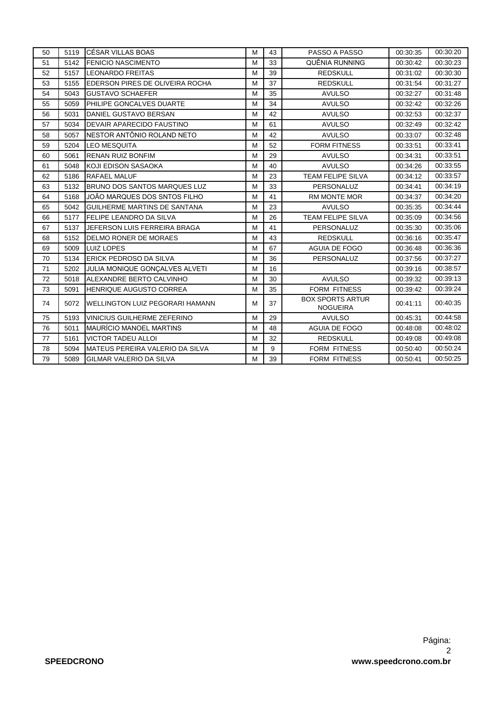| 50 |      | 5119 ICÉSAR VILLAS BOAS                 | м | 43 | PASSO A PASSO                              | 00:30:35 | 00:30:20 |
|----|------|-----------------------------------------|---|----|--------------------------------------------|----------|----------|
| 51 | 5142 | <b>IFENICIO NASCIMENTO</b>              | M | 33 | QUÊNIA RUNNING                             | 00:30:42 | 00:30:23 |
| 52 | 5157 | <b>LEONARDO FREITAS</b>                 | M | 39 | <b>REDSKULL</b>                            | 00:31:02 | 00:30:30 |
| 53 | 5155 | <b>IEDERSON PIRES DE OLIVEIRA ROCHA</b> | M | 37 | <b>REDSKULL</b>                            | 00:31:54 | 00:31:27 |
| 54 | 5043 | <b>I</b> GUSTAVO SCHAEFER               | M | 35 | <b>AVULSO</b>                              | 00:32:27 | 00:31:48 |
| 55 | 5059 | <b>PHILIPE GONCALVES DUARTE</b>         | M | 34 | <b>AVULSO</b>                              | 00:32:42 | 00:32:26 |
| 56 | 5031 | DANIEL GUSTAVO BERSAN                   | M | 42 | <b>AVULSO</b>                              | 00:32:53 | 00:32:37 |
| 57 | 5034 | <b>DEVAIR APARECIDO FAUSTINO</b>        | M | 61 | <b>AVULSO</b>                              | 00:32:49 | 00:32:42 |
| 58 | 5057 | INESTOR ANTÔNIO ROLAND NETO             | M | 42 | <b>AVULSO</b>                              | 00:33:07 | 00:32:48 |
| 59 | 5204 | <b>LEO MESQUITA</b>                     | M | 52 | <b>FORM FITNESS</b>                        | 00:33:51 | 00:33:41 |
| 60 | 5061 | <b>RENAN RUIZ BONFIM</b>                | M | 29 | <b>AVULSO</b>                              | 00:34:31 | 00:33:51 |
| 61 | 5048 | <b>I</b> KOJI EDISON SASAOKA            | M | 40 | <b>AVULSO</b>                              | 00:34:26 | 00:33:55 |
| 62 | 5186 | <b>RAFAEL MALUF</b>                     | M | 23 | <b>TEAM FELIPE SILVA</b>                   | 00:34:12 | 00:33:57 |
| 63 | 5132 | <b>BRUNO DOS SANTOS MARQUES LUZ</b>     | M | 33 | PERSONALUZ                                 | 00:34:41 | 00:34:19 |
| 64 | 5168 | JOÃO MARQUES DOS SNTOS FILHO            | M | 41 | RM MONTE MOR                               | 00:34:37 | 00:34:20 |
| 65 | 5042 | <b>IGUILHERME MARTINS DE SANTANA</b>    | M | 23 | <b>AVULSO</b>                              | 00:35:35 | 00:34:44 |
| 66 | 5177 | <b>IFELIPE LEANDRO DA SILVA</b>         | M | 26 | <b>TEAM FELIPE SILVA</b>                   | 00:35:09 | 00:34:56 |
| 67 | 5137 | JEFERSON LUIS FERREIRA BRAGA            | M | 41 | PERSONALUZ                                 | 00:35:30 | 00:35:06 |
| 68 | 5152 | DELMO RONER DE MORAES                   | M | 43 | <b>REDSKULL</b>                            | 00:36:16 | 00:35:47 |
| 69 | 5009 | LUIZ LOPES                              | M | 67 | AGUIA DE FOGO                              | 00:36:48 | 00:36:36 |
| 70 | 5134 | <b>ERICK PEDROSO DA SILVA</b>           | M | 36 | PERSONALUZ                                 | 00:37:56 | 00:37:27 |
| 71 | 5202 | JULIA MONIQUE GONÇALVES ALVETI          | M | 16 |                                            | 00:39:16 | 00:38:57 |
| 72 | 5018 | ALEXANDRE BERTO CALVINHO                | M | 30 | <b>AVULSO</b>                              | 00:39:32 | 00:39:13 |
| 73 | 5091 | <b>HENRIQUE AUGUSTO CORREA</b>          | M | 35 | FORM FITNESS                               | 00:39:42 | 00:39:24 |
| 74 | 5072 | <b>IWELLINGTON LUIZ PEGORARI HAMANN</b> | м | 37 | <b>BOX SPORTS ARTUR</b><br><b>NOGUEIRA</b> | 00:41:11 | 00:40:35 |
| 75 | 5193 | VINICIUS GUILHERME ZEFERINO             | M | 29 | <b>AVULSO</b>                              | 00:45:31 | 00:44:58 |
| 76 | 5011 | <b>IMAURÍCIO MANOEL MARTINS</b>         | M | 48 | <b>AGUIA DE FOGO</b>                       | 00:48:08 | 00:48:02 |
| 77 | 5161 | <b>VICTOR TADEU ALLOI</b>               | M | 32 | <b>REDSKULL</b>                            | 00:49:08 | 00:49:08 |
| 78 | 5094 | <b>IMATEUS PEREIRA VALERIO DA SILVA</b> | M | 9  | <b>FORM FITNESS</b>                        | 00:50:40 | 00:50:24 |
| 79 | 5089 | <b>IGILMAR VALERIO DA SILVA</b>         | M | 39 | <b>FORM FITNESS</b>                        | 00:50:41 | 00:50:25 |